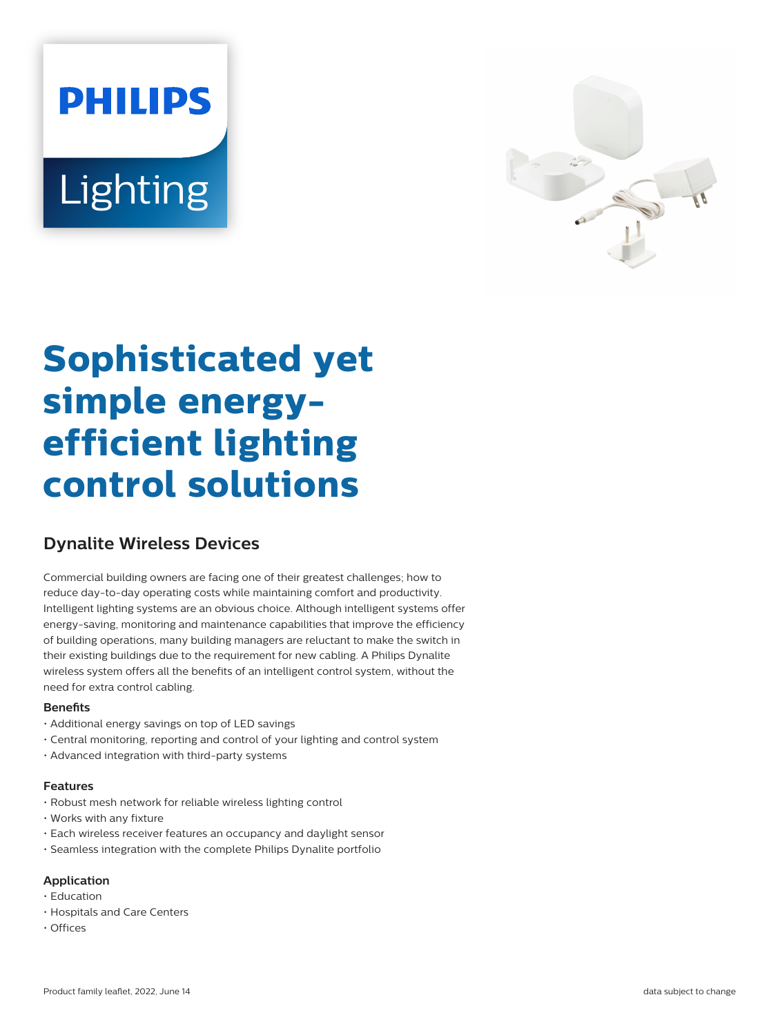# **PHILIPS** Lighting



# **Sophisticated yet simple energyefficient lighting control solutions**

## **Dynalite Wireless Devices**

Commercial building owners are facing one of their greatest challenges; how to reduce day-to-day operating costs while maintaining comfort and productivity. Intelligent lighting systems are an obvious choice. Although intelligent systems offer energy-saving, monitoring and maintenance capabilities that improve the efficiency of building operations, many building managers are reluctant to make the switch in their existing buildings due to the requirement for new cabling. A Philips Dynalite wireless system offers all the benefits of an intelligent control system, without the need for extra control cabling.

#### **Benets**

- Additional energy savings on top of LED savings
- Central monitoring, reporting and control of your lighting and control system
- Advanced integration with third-party systems

#### **Features**

- Robust mesh network for reliable wireless lighting control
- Works with any fixture
- Each wireless receiver features an occupancy and daylight sensor
- Seamless integration with the complete Philips Dynalite portfolio

#### **Application**

- Education
- Hospitals and Care Centers
- Offices